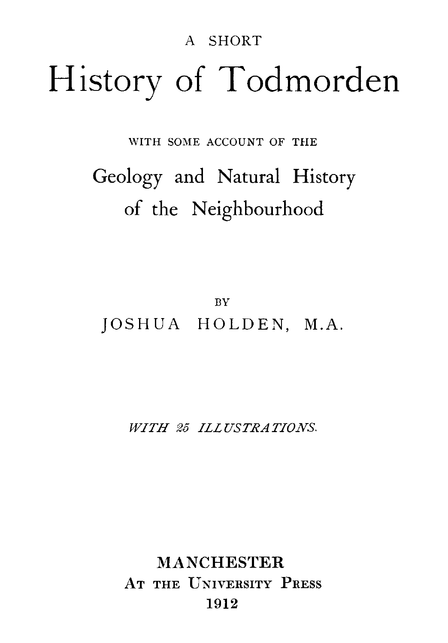## A SHORT History of Todmorden

WITH SOME ACCOUNT OF THE

## Geology and Natural History of the Neighbourhood

BY JOSHUA HOLDEN, M.A.

*WITH 25 ILLUSTRATIONS.*

MANCHESTER AT THE UNIVERSITY PRESS 1912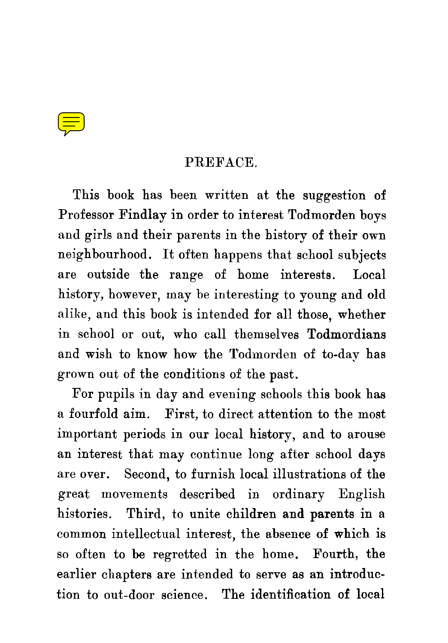## PREFACE.

This book has been written at the suggestion of Professor Findlay in order to interest Todmorden boys and girls and their parents in the history of their own neighbourhood. It often happens that school subjects are outside the range of home interests. Local history, however, may be interesting to young and old alike, and this book is intended for all those, whether in school or out, who call themselves Todmordians and wish to know how the Todmorden of to-day has grown out of the conditions of the past.

For pupils in day and evening schools this book has a fourfold aim. First, to direct attention to the most important periods in our local history, and to arouse an interest that may continue long after school days are over. Second, to furnish local illustrations of the great movements described in ordinary English histories. Third, to unite children and parents in a common intellectual interest, the absence of which is so often to be regretted in the home. Fourth, the earlier chapters are intended to serve as an introduction to out-door science. The identification of local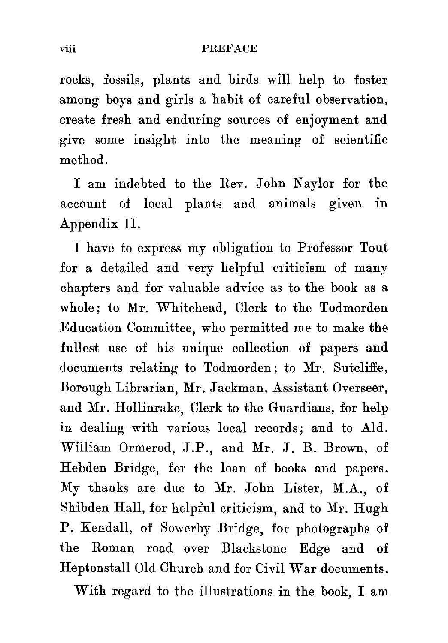## viii PREFACE

rocks, fossils, plants and birds will help to foster among boys and girls a habit of careful observation, create fresh and enduring sources of enjoyment and give some insight into the meaning of scientific method.

I am indebted to the Rev. John Naylor for the account of local plants and animals given in Appendix II.

I have to express my obligation to Professor Tout for a detailed and very helpful criticism of many chapters and for valuable advice as to the book as a whole; to Mr. Whitehead, Clerk to the Todmorden Education Committee, who permitted me to make the fullest use of his unique collection of papers and documents relating to Todmorden ; to Mr. Sutcliffe, Borough Librarian, Mr. Jackman, Assistant Overseer, and Mr. Hollinrake, Clerk to the Guardians, for help in dealing with various local records; and to Ald. William Ormerod, J.P., and Mr. J. B. Brown, of Hebden Bridge, for the loan of books and papers. My thanks are due to Mr. John Lister, M.A., of Shibden Hall, for helpful criticism, and to Mr. Hugh P. Kendall, of Sowerby Bridge, for photographs of the Roman road over Blackstone Edge and of Heptonstall Old Church and for Civil War documents.

With regard to the illustrations in the book, I am